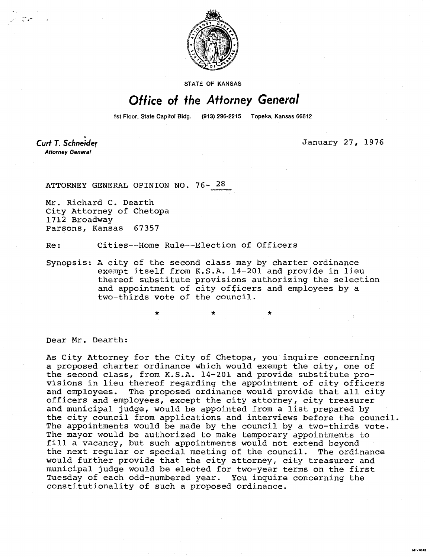

STATE OF KANSAS

## Office of the Attorney General

1st Floor, State Capitol Bldg. (913) 296-2215 Topeka, Kansas 66612

Curt T. Schneider **Attorney General** 

January 27, 1976

HI-1043

ATTORNEY GENERAL OPINION NO. 76- 28

Mr. Richard C. Dearth City Attorney of Chetopa 1712 Broadway Parsons, Kansas 67357

Re: Cities--Home Rule--Election of Officers

Synopsis: A city of the second class may by charter ordinance exempt itself from K.S.A. 14-201 and provide in lieu thereof substitute provisions authorizing the selection and appointment of city officers and employees by a two-thirds vote of the council.

Dear Mr. Dearth:

As City Attorney for the City of Chetopa, you inquire concerning a proposed charter ordinance which would exempt the city, one of the second class, from K.S.A. 14-201 and provide substitute provisions in lieu thereof regarding the appointment of city officers and employees. The proposed ordinance would provide that all city officers and employees, except the city attorney, city treasurer and municipal judge, would be appointed from a list prepared by the city council from applications and interviews before the council. The appointments would be made by the council by a two-thirds vote. The mayor would be authorized to make temporary appointments to fill a vacancy, but such appointments would not extend beyond the next regular or special meeting of the council. The ordinance would further provide that the city attorney, city treasurer and municipal judge would be elected for two-year terms on the first Tuesday of each odd-numbered year. You inquire concerning the constitutionality of such a proposed ordinance.